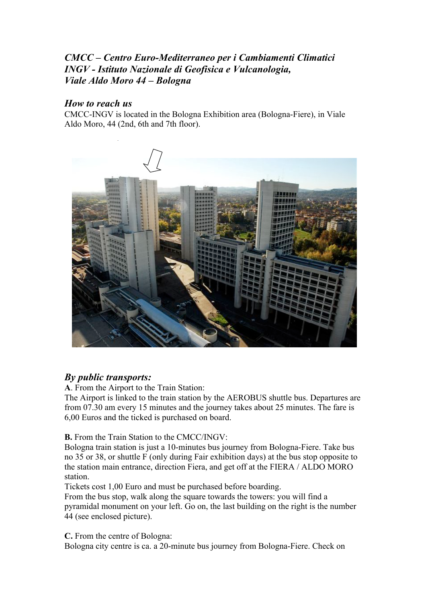## *CMCC – Centro Euro-Mediterraneo per i Cambiamenti Climatici INGV - Istituto Nazionale di Geofisica e Vulcanologia, Viale Aldo Moro 44 – Bologna*

## *How to reach us*

CMCC-INGV is located in the Bologna Exhibition area (Bologna-Fiere), in Viale Aldo Moro, 44 (2nd, 6th and 7th floor).



## *By public transports:*

**A**. From the Airport to the Train Station:

The Airport is linked to the train station by the AEROBUS shuttle bus. Departures are from 07.30 am every 15 minutes and the journey takes about 25 minutes. The fare is 6,00 Euros and the ticked is purchased on board.

**B.** From the Train Station to the CMCC/INGV:

Bologna train station is just a 10-minutes bus journey from Bologna-Fiere. Take bus no 35 or 38, or shuttle F (only during Fair exhibition days) at the bus stop opposite to the station main entrance, direction Fiera, and get off at the FIERA / ALDO MORO station.

Tickets cost 1,00 Euro and must be purchased before boarding.

From the bus stop, walk along the square towards the towers: you will find a pyramidal monument on your left. Go on, the last building on the right is the number 44 (see enclosed picture).

**C.** From the centre of Bologna:

Bologna city centre is ca. a 20-minute bus journey from Bologna-Fiere. Check on